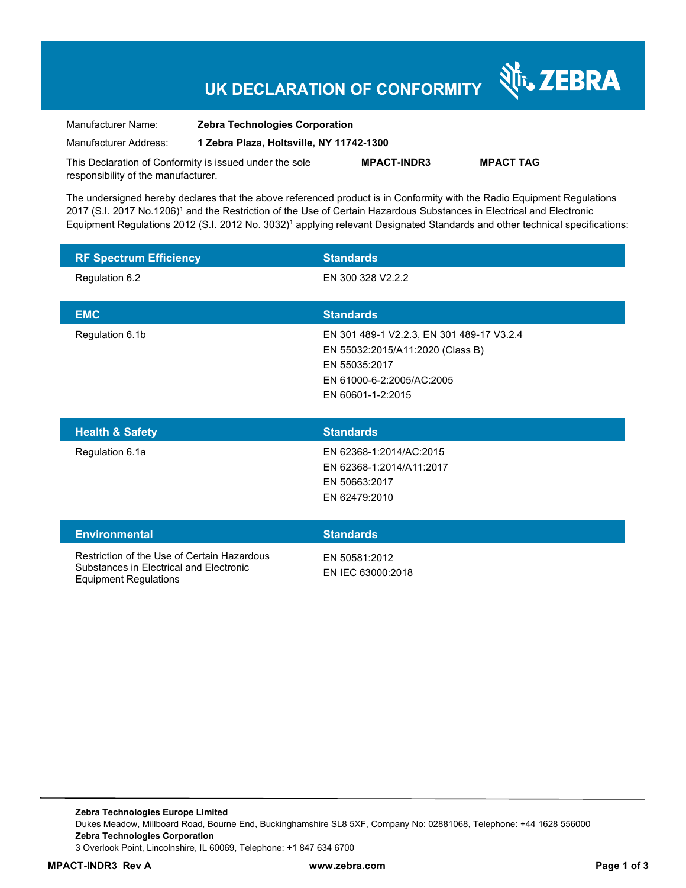## **UK DECLARATION OF CONFORMITY**

Nr. ZEBRA

| Manufacturer Name:                                      | <b>Zebra Technologies Corporation</b>    |                    |                  |
|---------------------------------------------------------|------------------------------------------|--------------------|------------------|
| Manufacturer Address:                                   | 1 Zebra Plaza, Holtsville, NY 11742-1300 |                    |                  |
| This Declaration of Conformity is issued under the sole |                                          | <b>MPACT-INDR3</b> | <b>MPACT TAG</b> |

responsibility of the manufacturer.

The undersigned hereby declares that the above referenced product is in Conformity with the Radio Equipment Regulations 2017 (S.I. 2017 No.1206)<sup>1</sup> and the Restriction of the Use of Certain Hazardous Substances in Electrical and Electronic Equipment Regulations 2012 (S.I. 2012 No. 3032)<sup>1</sup> applying relevant Designated Standards and other technical specifications:

| <b>RF Spectrum Efficiency</b> | <b>Standards</b>                                                                                                                                 |
|-------------------------------|--------------------------------------------------------------------------------------------------------------------------------------------------|
| Regulation 6.2                | EN 300 328 V2.2.2                                                                                                                                |
| <b>EMC</b>                    | <b>Standards</b>                                                                                                                                 |
| Regulation 6.1b               | EN 301 489-1 V2.2.3, EN 301 489-17 V3.2.4<br>EN 55032:2015/A11:2020 (Class B)<br>EN 55035:2017<br>EN 61000-6-2:2005/AC:2005<br>EN 60601-1-2:2015 |
|                               |                                                                                                                                                  |
| <b>Health &amp; Safety</b>    | <b>Standards</b>                                                                                                                                 |
| Regulation 6.1a               | EN 62368-1:2014/AC:2015<br>EN 62368-1:2014/A11:2017<br>EN 50663:2017<br>EN 62479:2010                                                            |
| <b>Environmental</b>          | <b>Standards</b>                                                                                                                                 |

**Zebra Technologies Europe Limited**  Dukes Meadow, Millboard Road, Bourne End, Buckinghamshire SL8 5XF, Company No: 02881068, Telephone: +44 1628 556000 **Zebra Technologies Corporation**  3 Overlook Point, Lincolnshire, IL 60069, Telephone: +1 847 634 6700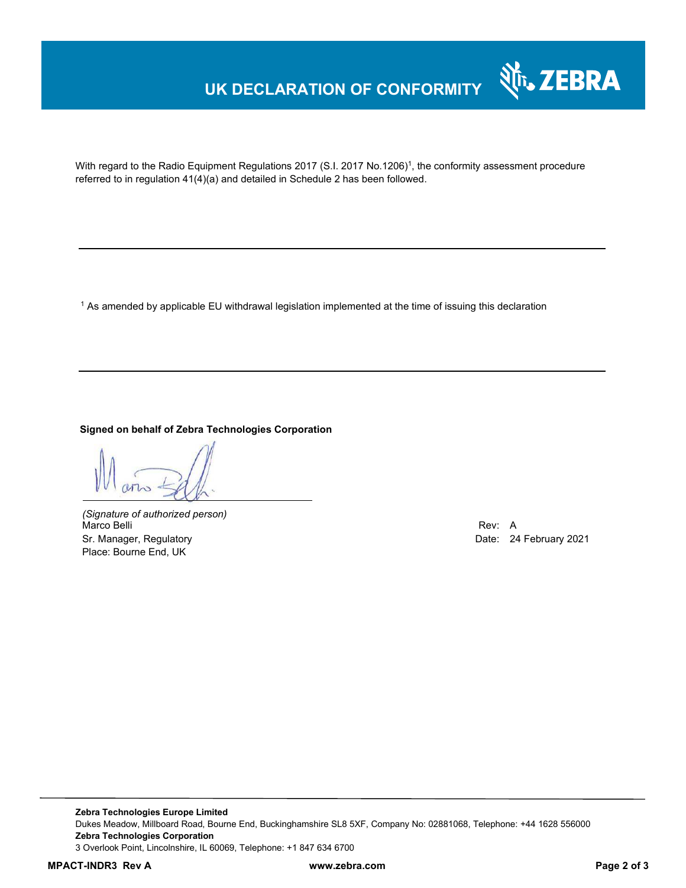## **UK DECLARATION OF CONFORMITY**



With regard to the Radio Equipment Regulations 2017 (S.I. 2017 No.1206)<sup>1</sup>, the conformity assessment procedure referred to in regulation 41(4)(a) and detailed in Schedule 2 has been followed.

 $^{\rm 1}$  As amended by applicable EU withdrawal legislation implemented at the time of issuing this declaration

#### **Signed on behalf of Zebra Technologies Corporation**

*(Signature of authorized person)* Marco Belli Rev: A Alexander Communication of the Communication of the Communication of the Communication of the Communication of the Communication of the Communication of the Communication of the Communication of the Comm Sr. Manager, Regulatory **Date: 24 February 2021** Place: Bourne End, UK